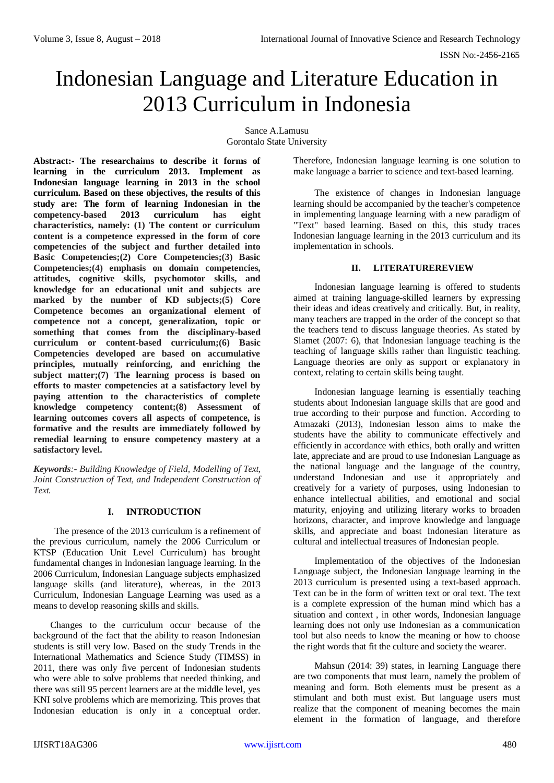# Indonesian Language and Literature Education in 2013 Curriculum in Indonesia

Sance A.Lamusu Gorontalo State University

**Abstract:- The researchaims to describe it forms of learning in the curriculum 2013. Implement as Indonesian language learning in 2013 in the school curriculum. Based on these objectives, the results of this study are: The form of learning Indonesian in the competency-based 2013 curriculum has eight characteristics, namely: (1) The content or curriculum content is a competence expressed in the form of core competencies of the subject and further detailed into Basic Competencies;(2) Core Competencies;(3) Basic Competencies;(4) emphasis on domain competencies, attitudes, cognitive skills, psychomotor skills, and knowledge for an educational unit and subjects are marked by the number of KD subjects;(5) Core Competence becomes an organizational element of competence not a concept, generalization, topic or something that comes from the disciplinary-based curriculum or content-based curriculum;(6) Basic Competencies developed are based on accumulative principles, mutually reinforcing, and enriching the subject matter;(7) The learning process is based on efforts to master competencies at a satisfactory level by paying attention to the characteristics of complete knowledge competency content;(8) Assessment of learning outcomes covers all aspects of competence, is formative and the results are immediately followed by remedial learning to ensure competency mastery at a satisfactory level.**

*Keywords:- Building Knowledge of Field, Modelling of Text, Joint Construction of Text, and Independent Construction of Text.*

# **I. INTRODUCTION**

The presence of the 2013 curriculum is a refinement of the previous curriculum, namely the 2006 Curriculum or KTSP (Education Unit Level Curriculum) has brought fundamental changes in Indonesian language learning. In the 2006 Curriculum, Indonesian Language subjects emphasized language skills (and literature), whereas, in the 2013 Curriculum, Indonesian Language Learning was used as a means to develop reasoning skills and skills.

Changes to the curriculum occur because of the background of the fact that the ability to reason Indonesian students is still very low. Based on the study Trends in the International Mathematics and Science Study (TIMSS) in 2011, there was only five percent of Indonesian students who were able to solve problems that needed thinking, and there was still 95 percent learners are at the middle level, yes KNI solve problems which are memorizing. This proves that Indonesian education is only in a conceptual order.

Therefore, Indonesian language learning is one solution to make language a barrier to science and text-based learning.

The existence of changes in Indonesian language learning should be accompanied by the teacher's competence in implementing language learning with a new paradigm of "Text" based learning. Based on this, this study traces Indonesian language learning in the 2013 curriculum and its implementation in schools.

# **II. LITERATUREREVIEW**

Indonesian language learning is offered to students aimed at training language-skilled learners by expressing their ideas and ideas creatively and critically. But, in reality, many teachers are trapped in the order of the concept so that the teachers tend to discuss language theories. As stated by Slamet (2007: 6), that Indonesian language teaching is the teaching of language skills rather than linguistic teaching. Language theories are only as support or explanatory in context, relating to certain skills being taught.

Indonesian language learning is essentially teaching students about Indonesian language skills that are good and true according to their purpose and function. According to Atmazaki (2013), Indonesian lesson aims to make the students have the ability to communicate effectively and efficiently in accordance with ethics, both orally and written late, appreciate and are proud to use Indonesian Language as the national language and the language of the country, understand Indonesian and use it appropriately and creatively for a variety of purposes, using Indonesian to enhance intellectual abilities, and emotional and social maturity, enjoying and utilizing literary works to broaden horizons, character, and improve knowledge and language skills, and appreciate and boast Indonesian literature as cultural and intellectual treasures of Indonesian people.

Implementation of the objectives of the Indonesian Language subject, the Indonesian language learning in the 2013 curriculum is presented using a text-based approach. Text can be in the form of written text or oral text. The text is a complete expression of the human mind which has a situation and context , in other words, Indonesian language learning does not only use Indonesian as a communication tool but also needs to know the meaning or how to choose the right words that fit the culture and society the wearer.

Mahsun (2014: 39) states, in learning Language there are two components that must learn, namely the problem of meaning and form. Both elements must be present as a stimulant and both must exist. But language users must realize that the component of meaning becomes the main element in the formation of language, and therefore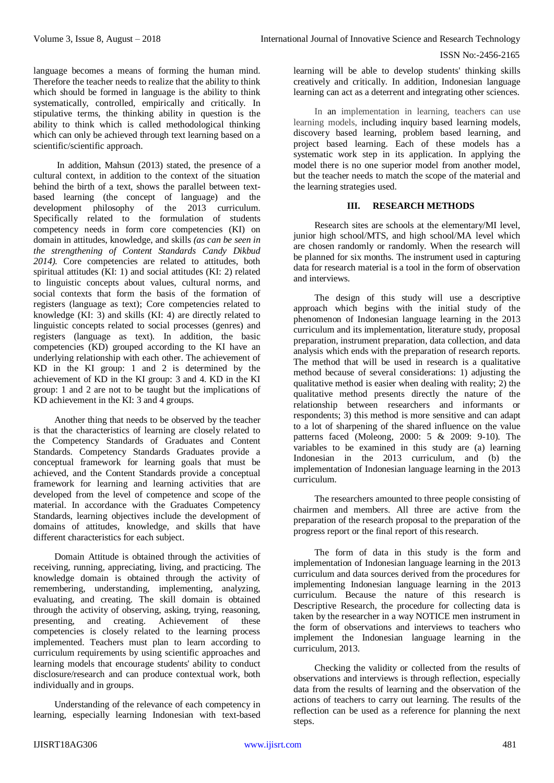language becomes a means of forming the human mind. Therefore the teacher needs to realize that the ability to think which should be formed in language is the ability to think systematically, controlled, empirically and critically. In stipulative terms, the thinking ability in question is the ability to think which is called methodological thinking which can only be achieved through text learning based on a scientific/scientific approach.

In addition, Mahsun (2013) stated, the presence of a cultural context, in addition to the context of the situation behind the birth of a text, shows the parallel between textbased learning (the concept of language) and the development philosophy of the 2013 curriculum. Specifically related to the formulation of students competency needs in form core competencies (KI) on domain in attitudes, knowledge, and skills *(as can be seen in the strengthening of Content Standards Candy Dikbud 2014).* Core competencies are related to attitudes, both spiritual attitudes (KI: 1) and social attitudes (KI: 2) related to linguistic concepts about values, cultural norms, and social contexts that form the basis of the formation of registers (language as text); Core competencies related to knowledge (KI: 3) and skills (KI: 4) are directly related to linguistic concepts related to social processes (genres) and registers (language as text). In addition, the basic competencies (KD) grouped according to the KI have an underlying relationship with each other. The achievement of KD in the KI group: 1 and 2 is determined by the achievement of KD in the KI group: 3 and 4. KD in the KI group: 1 and 2 are not to be taught but the implications of KD achievement in the KI: 3 and 4 groups.

Another thing that needs to be observed by the teacher is that the characteristics of learning are closely related to the Competency Standards of Graduates and Content Standards. Competency Standards Graduates provide a conceptual framework for learning goals that must be achieved, and the Content Standards provide a conceptual framework for learning and learning activities that are developed from the level of competence and scope of the material. In accordance with the Graduates Competency Standards, learning objectives include the development of domains of attitudes, knowledge, and skills that have different characteristics for each subject.

Domain Attitude is obtained through the activities of receiving, running, appreciating, living, and practicing. The knowledge domain is obtained through the activity of remembering, understanding, implementing, analyzing, evaluating, and creating. The skill domain is obtained through the activity of observing, asking, trying, reasoning, presenting, and creating. Achievement of these competencies is closely related to the learning process implemented. Teachers must plan to learn according to curriculum requirements by using scientific approaches and learning models that encourage students' ability to conduct disclosure/research and can produce contextual work, both individually and in groups.

Understanding of the relevance of each competency in learning, especially learning Indonesian with text-based learning will be able to develop students' thinking skills creatively and critically. In addition, Indonesian language learning can act as a deterrent and integrating other sciences.

In an implementation in learning, teachers can use learning models, including inquiry based learning models, discovery based learning, problem based learning, and project based learning. Each of these models has a systematic work step in its application. In applying the model there is no one superior model from another model, but the teacher needs to match the scope of the material and the learning strategies used.

# **III. RESEARCH METHODS**

Research sites are schools at the elementary/MI level, junior high school/MTS, and high school/MA level which are chosen randomly or randomly. When the research will be planned for six months. The instrument used in capturing data for research material is a tool in the form of observation and interviews.

The design of this study will use a descriptive approach which begins with the initial study of the phenomenon of Indonesian language learning in the 2013 curriculum and its implementation, literature study, proposal preparation, instrument preparation, data collection, and data analysis which ends with the preparation of research reports. The method that will be used in research is a qualitative method because of several considerations: 1) adjusting the qualitative method is easier when dealing with reality; 2) the qualitative method presents directly the nature of the relationship between researchers and informants or respondents; 3) this method is more sensitive and can adapt to a lot of sharpening of the shared influence on the value patterns faced (Moleong, 2000: 5 & 2009: 9-10). The variables to be examined in this study are (a) learning Indonesian in the 2013 curriculum, and (b) the implementation of Indonesian language learning in the 2013 curriculum.

The researchers amounted to three people consisting of chairmen and members. All three are active from the preparation of the research proposal to the preparation of the progress report or the final report of this research.

The form of data in this study is the form and implementation of Indonesian language learning in the 2013 curriculum and data sources derived from the procedures for implementing Indonesian language learning in the 2013 curriculum. Because the nature of this research is Descriptive Research, the procedure for collecting data is taken by the researcher in a way NOTICE men instrument in the form of observations and interviews to teachers who implement the Indonesian language learning in the curriculum, 2013.

Checking the validity or collected from the results of observations and interviews is through reflection, especially data from the results of learning and the observation of the actions of teachers to carry out learning. The results of the reflection can be used as a reference for planning the next steps.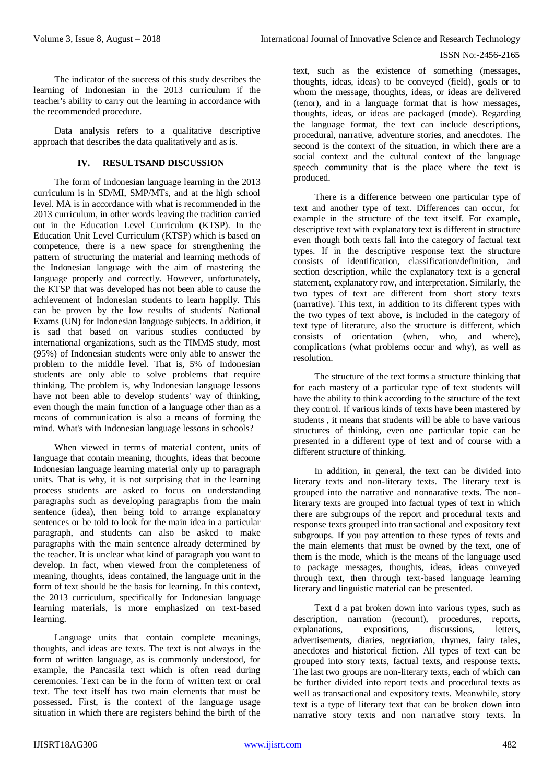The indicator of the success of this study describes the learning of Indonesian in the 2013 curriculum if the teacher's ability to carry out the learning in accordance with the recommended procedure.

Data analysis refers to a qualitative descriptive approach that describes the data qualitatively and as is.

## **IV. RESULTSAND DISCUSSION**

The form of Indonesian language learning in the 2013 curriculum is in SD/MI, SMP/MTs, and at the high school level. MA is in accordance with what is recommended in the 2013 curriculum, in other words leaving the tradition carried out in the Education Level Curriculum (KTSP). In the Education Unit Level Curriculum (KTSP) which is based on competence, there is a new space for strengthening the pattern of structuring the material and learning methods of the Indonesian language with the aim of mastering the language properly and correctly. However, unfortunately, the KTSP that was developed has not been able to cause the achievement of Indonesian students to learn happily. This can be proven by the low results of students' National Exams (UN) for Indonesian language subjects. In addition, it is sad that based on various studies conducted by international organizations, such as the TIMMS study, most (95%) of Indonesian students were only able to answer the problem to the middle level. That is, 5% of Indonesian students are only able to solve problems that require thinking. The problem is, why Indonesian language lessons have not been able to develop students' way of thinking, even though the main function of a language other than as a means of communication is also a means of forming the mind. What's with Indonesian language lessons in schools?

When viewed in terms of material content, units of language that contain meaning, thoughts, ideas that become Indonesian language learning material only up to paragraph units. That is why, it is not surprising that in the learning process students are asked to focus on understanding paragraphs such as developing paragraphs from the main sentence (idea), then being told to arrange explanatory sentences or be told to look for the main idea in a particular paragraph, and students can also be asked to make paragraphs with the main sentence already determined by the teacher. It is unclear what kind of paragraph you want to develop. In fact, when viewed from the completeness of meaning, thoughts, ideas contained, the language unit in the form of text should be the basis for learning. In this context, the 2013 curriculum, specifically for Indonesian language learning materials, is more emphasized on text-based learning.

Language units that contain complete meanings, thoughts, and ideas are texts. The text is not always in the form of written language, as is commonly understood, for example, the Pancasila text which is often read during ceremonies. Text can be in the form of written text or oral text. The text itself has two main elements that must be possessed. First, is the context of the language usage situation in which there are registers behind the birth of the

text, such as the existence of something (messages, thoughts, ideas, ideas) to be conveyed (field), goals or to whom the message, thoughts, ideas, or ideas are delivered (tenor), and in a language format that is how messages, thoughts, ideas, or ideas are packaged (mode). Regarding the language format, the text can include descriptions, procedural, narrative, adventure stories, and anecdotes. The second is the context of the situation, in which there are a social context and the cultural context of the language speech community that is the place where the text is produced.

There is a difference between one particular type of text and another type of text. Differences can occur, for example in the structure of the text itself. For example, descriptive text with explanatory text is different in structure even though both texts fall into the category of factual text types. If in the descriptive response text the structure consists of identification, classification/definition, and section description, while the explanatory text is a general statement, explanatory row, and interpretation. Similarly, the two types of text are different from short story texts (narrative). This text, in addition to its different types with the two types of text above, is included in the category of text type of literature, also the structure is different, which consists of orientation (when, who, and where), complications (what problems occur and why), as well as resolution.

The structure of the text forms a structure thinking that for each mastery of a particular type of text students will have the ability to think according to the structure of the text they control. If various kinds of texts have been mastered by students , it means that students will be able to have various structures of thinking, even one particular topic can be presented in a different type of text and of course with a different structure of thinking.

In addition, in general, the text can be divided into literary texts and non-literary texts. The literary text is grouped into the narrative and nonnarative texts. The nonliterary texts are grouped into factual types of text in which there are subgroups of the report and procedural texts and response texts grouped into transactional and expository text subgroups. If you pay attention to these types of texts and the main elements that must be owned by the text, one of them is the mode, which is the means of the language used to package messages, thoughts, ideas, ideas conveyed through text, then through text-based language learning literary and linguistic material can be presented.

Text d a pat broken down into various types, such as description, narration (recount), procedures, reports, explanations, expositions, discussions, letters, advertisements, diaries, negotiation, rhymes, fairy tales, anecdotes and historical fiction. All types of text can be grouped into story texts, factual texts, and response texts. The last two groups are non-literary texts, each of which can be further divided into report texts and procedural texts as well as transactional and expository texts. Meanwhile, story text is a type of literary text that can be broken down into narrative story texts and non narrative story texts. In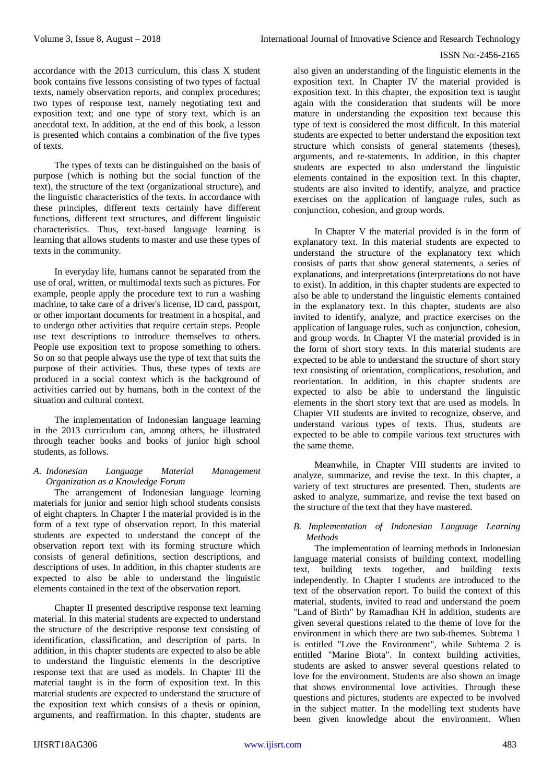accordance with the 2013 curriculum, this class X student book contains five lessons consisting of two types of factual texts, namely observation reports, and complex procedures; two types of response text, namely negotiating text and exposition text; and one type of story text, which is an anecdotal text. In addition, at the end of this book, a lesson is presented which contains a combination of the five types of texts.

The types of texts can be distinguished on the basis of purpose (which is nothing but the social function of the text), the structure of the text (organizational structure), and the linguistic characteristics of the texts. In accordance with these principles, different texts certainly have different functions, different text structures, and different linguistic characteristics. Thus, text-based language learning is learning that allows students to master and use these types of texts in the community.

In everyday life, humans cannot be separated from the use of oral, written, or multimodal texts such as pictures. For example, people apply the procedure text to run a washing machine, to take care of a driver's license, ID card, passport, or other important documents for treatment in a hospital, and to undergo other activities that require certain steps. People use text descriptions to introduce themselves to others. People use exposition text to propose something to others. So on so that people always use the type of text that suits the purpose of their activities. Thus, these types of texts are produced in a social context which is the background of activities carried out by humans, both in the context of the situation and cultural context.

The implementation of Indonesian language learning in the 2013 curriculum can, among others, be illustrated through teacher books and books of junior high school students, as follows.

#### *A. Indonesian Language Material Management Organization as a Knowledge Forum*

The arrangement of Indonesian language learning materials for junior and senior high school students consists of eight chapters. In Chapter I the material provided is in the form of a text type of observation report. In this material students are expected to understand the concept of the observation report text with its forming structure which consists of general definitions, section descriptions, and descriptions of uses. In addition, in this chapter students are expected to also be able to understand the linguistic elements contained in the text of the observation report.

Chapter II presented descriptive response text learning material. In this material students are expected to understand the structure of the descriptive response text consisting of identification, classification, and description of parts. In addition, in this chapter students are expected to also be able to understand the linguistic elements in the descriptive response text that are used as models. In Chapter III the material taught is in the form of exposition text. In this material students are expected to understand the structure of the exposition text which consists of a thesis or opinion, arguments, and reaffirmation. In this chapter, students are

also given an understanding of the linguistic elements in the exposition text. In Chapter IV the material provided is exposition text. In this chapter, the exposition text is taught again with the consideration that students will be more mature in understanding the exposition text because this type of text is considered the most difficult. In this material students are expected to better understand the exposition text structure which consists of general statements (theses), arguments, and re-statements. In addition, in this chapter students are expected to also understand the linguistic elements contained in the exposition text. In this chapter, students are also invited to identify, analyze, and practice exercises on the application of language rules, such as conjunction, cohesion, and group words.

In Chapter V the material provided is in the form of explanatory text. In this material students are expected to understand the structure of the explanatory text which consists of parts that show general statements, a series of explanations, and interpretations (interpretations do not have to exist). In addition, in this chapter students are expected to also be able to understand the linguistic elements contained in the explanatory text. In this chapter, students are also invited to identify, analyze, and practice exercises on the application of language rules, such as conjunction, cohesion, and group words. In Chapter VI the material provided is in the form of short story texts. In this material students are expected to be able to understand the structure of short story text consisting of orientation, complications, resolution, and reorientation. In addition, in this chapter students are expected to also be able to understand the linguistic elements in the short story text that are used as models. In Chapter VII students are invited to recognize, observe, and understand various types of texts. Thus, students are expected to be able to compile various text structures with the same theme.

Meanwhile, in Chapter VIII students are invited to analyze, summarize, and revise the text. In this chapter, a variety of text structures are presented. Then, students are asked to analyze, summarize, and revise the text based on the structure of the text that they have mastered.

# *B. Implementation of Indonesian Language Learning Methods*

The implementation of learning methods in Indonesian language material consists of building context, modelling text, building texts together, and building texts independently. In Chapter I students are introduced to the text of the observation report. To build the context of this material, students, invited to read and understand the poem "Land of Birth" by Ramadhan KH In addition, students are given several questions related to the theme of love for the environment in which there are two sub-themes. Subtema 1 is entitled "Love the Environment", while Subtema 2 is entitled "Marine Biota". In context building activities, students are asked to answer several questions related to love for the environment. Students are also shown an image that shows environmental love activities. Through these questions and pictures, students are expected to be involved in the subject matter. In the modelling text students have been given knowledge about the environment. When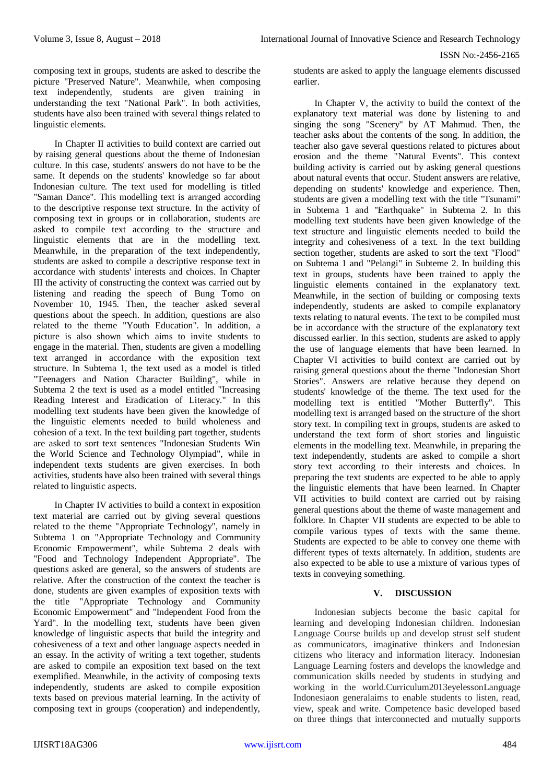composing text in groups, students are asked to describe the picture "Preserved Nature". Meanwhile, when composing text independently, students are given training in understanding the text "National Park". In both activities, students have also been trained with several things related to linguistic elements.

In Chapter II activities to build context are carried out by raising general questions about the theme of Indonesian culture. In this case, students' answers do not have to be the same. It depends on the students' knowledge so far about Indonesian culture. The text used for modelling is titled "Saman Dance". This modelling text is arranged according to the descriptive response text structure. In the activity of composing text in groups or in collaboration, students are asked to compile text according to the structure and linguistic elements that are in the modelling text. Meanwhile, in the preparation of the text independently, students are asked to compile a descriptive response text in accordance with students' interests and choices. In Chapter III the activity of constructing the context was carried out by listening and reading the speech of Bung Tomo on November 10, 1945. Then, the teacher asked several questions about the speech. In addition, questions are also related to the theme "Youth Education". In addition, a picture is also shown which aims to invite students to engage in the material. Then, students are given a modelling text arranged in accordance with the exposition text structure. In Subtema 1, the text used as a model is titled "Teenagers and Nation Character Building", while in Subtema 2 the text is used as a model entitled "Increasing Reading Interest and Eradication of Literacy." In this modelling text students have been given the knowledge of the linguistic elements needed to build wholeness and cohesion of a text. In the text building part together, students are asked to sort text sentences "Indonesian Students Win the World Science and Technology Olympiad", while in independent texts students are given exercises. In both activities, students have also been trained with several things related to linguistic aspects.

In Chapter IV activities to build a context in exposition text material are carried out by giving several questions related to the theme "Appropriate Technology", namely in Subtema 1 on "Appropriate Technology and Community Economic Empowerment", while Subtema 2 deals with "Food and Technology Independent Appropriate". The questions asked are general, so the answers of students are relative. After the construction of the context the teacher is done, students are given examples of exposition texts with the title "Appropriate Technology and Community Economic Empowerment" and "Independent Food from the Yard". In the modelling text, students have been given knowledge of linguistic aspects that build the integrity and cohesiveness of a text and other language aspects needed in an essay. In the activity of writing a text together, students are asked to compile an exposition text based on the text exemplified. Meanwhile, in the activity of composing texts independently, students are asked to compile exposition texts based on previous material learning. In the activity of composing text in groups (cooperation) and independently,

students are asked to apply the language elements discussed earlier.

In Chapter V, the activity to build the context of the explanatory text material was done by listening to and singing the song "Scenery" by AT Mahmud. Then, the teacher asks about the contents of the song. In addition, the teacher also gave several questions related to pictures about erosion and the theme "Natural Events". This context building activity is carried out by asking general questions about natural events that occur. Student answers are relative, depending on students' knowledge and experience. Then, students are given a modelling text with the title "Tsunami" in Subtema 1 and "Earthquake" in Subtema 2. In this modelling text students have been given knowledge of the text structure and linguistic elements needed to build the integrity and cohesiveness of a text. In the text building section together, students are asked to sort the text "Flood" on Subtema 1 and "Pelangi" in Subteme 2. In building this text in groups, students have been trained to apply the linguistic elements contained in the explanatory text. Meanwhile, in the section of building or composing texts independently, students are asked to compile explanatory texts relating to natural events. The text to be compiled must be in accordance with the structure of the explanatory text discussed earlier. In this section, students are asked to apply the use of language elements that have been learned. In Chapter VI activities to build context are carried out by raising general questions about the theme "Indonesian Short Stories". Answers are relative because they depend on students' knowledge of the theme. The text used for the modelling text is entitled "Mother Butterfly". This modelling text is arranged based on the structure of the short story text. In compiling text in groups, students are asked to understand the text form of short stories and linguistic elements in the modelling text. Meanwhile, in preparing the text independently, students are asked to compile a short story text according to their interests and choices. In preparing the text students are expected to be able to apply the linguistic elements that have been learned. In Chapter VII activities to build context are carried out by raising general questions about the theme of waste management and folklore. In Chapter VII students are expected to be able to compile various types of texts with the same theme. Students are expected to be able to convey one theme with different types of texts alternately. In addition, students are also expected to be able to use a mixture of various types of texts in conveying something.

# **V. DISCUSSION**

Indonesian subjects become the basic capital for learning and developing Indonesian children. Indonesian Language Course builds up and develop strust self student as communicators, imaginative thinkers and Indonesian citizens who literacy and information literacy. Indonesian Language Learning fosters and develops the knowledge and communication skills needed by students in studying and working in the world.Curriculum2013eyelessonLanguage Indonesiaon generalaims to enable students to listen, read, view, speak and write. Competence basic developed based on three things that interconnected and mutually supports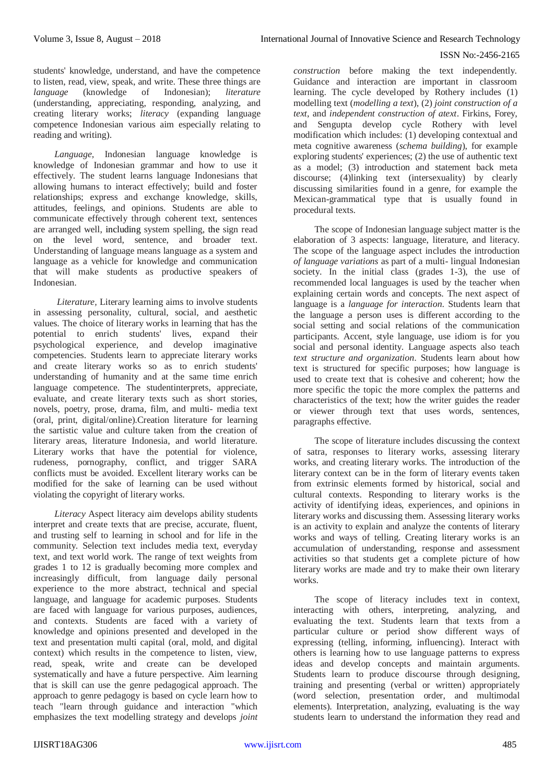students' knowledge, understand, and have the competence to listen, read, view, speak, and write. These three things are *language* (knowledge of Indonesian); *literature* (understanding, appreciating, responding, analyzing, and creating literary works; *literacy* (expanding language competence Indonesian various aim especially relating to reading and writing).

*Language,* Indonesian language knowledge is knowledge of Indonesian grammar and how to use it effectively. The student learns language Indonesians that allowing humans to interact effectively; build and foster relationships; express and exchange knowledge, skills, attitudes, feelings, and opinions. Students are able to communicate effectively through coherent text, sentences are arranged well, including system spelling, the sign read on the level word, sentence, and broader text. Understanding of language means language as a system and language as a vehicle for knowledge and communication that will make students as productive speakers of Indonesian.

*Literature,* Literary learning aims to involve students in assessing personality, cultural, social, and aesthetic values. The choice of literary works in learning that has the potential to enrich students' lives, expand their psychological experience, and develop imaginative competencies. Students learn to appreciate literary works and create literary works so as to enrich students' understanding of humanity and at the same time enrich language competence. The studentinterprets, appreciate, evaluate, and create literary texts such as short stories, novels, poetry, prose, drama, film, and multi- media text (oral, print, digital/online).Creation literature for learning the sartistic value and culture taken from the creation of literary areas, literature Indonesia, and world literature. Literary works that have the potential for violence, rudeness, pornography, conflict, and trigger SARA conflicts must be avoided. Excellent literary works can be modified for the sake of learning can be used without violating the copyright of literary works.

*Literacy* Aspect literacy aim develops ability students interpret and create texts that are precise, accurate, fluent, and trusting self to learning in school and for life in the community. Selection text includes media text, everyday text, and text world work. The range of text weights from grades 1 to 12 is gradually becoming more complex and increasingly difficult, from language daily personal experience to the more abstract, technical and special language, and language for academic purposes. Students are faced with language for various purposes, audiences, and contexts. Students are faced with a variety of knowledge and opinions presented and developed in the text and presentation multi capital (oral, mold, and digital context) which results in the competence to listen, view, read, speak, write and create can be developed systematically and have a future perspective. Aim learning that is skill can use the genre pedagogical approach. The approach to genre pedagogy is based on cycle learn how to teach "learn through guidance and interaction "which emphasizes the text modelling strategy and develops *joint*  *construction* before making the text independently. Guidance and interaction are important in classroom learning. The cycle developed by Rothery includes (1) modelling text (*modelling a text*), (2) *joint construction of a text*, and *independent construction of atext*. Firkins, Forey, and Sengupta develop cycle Rothery with level modification which includes: (1) developing contextual and meta cognitive awareness (*schema building*), for example exploring students' experiences; (2) the use of authentic text as a model; (3) introduction and statement back meta discourse; (4)linking text (intersexuality) by clearly discussing similarities found in a genre, for example the Mexican-grammatical type that is usually found in procedural texts.

The scope of Indonesian language subject matter is the elaboration of 3 aspects: language, literature, and literacy. The scope of the language aspect includes the introduction *of language variations* as part of a multi- lingual Indonesian society. In the initial class (grades 1-3), the use of recommended local languages is used by the teacher when explaining certain words and concepts. The next aspect of language is a *language for interaction*. Students learn that the language a person uses is different according to the social setting and social relations of the communication participants. Accent, style language, use idiom is for you social and personal identity. Language aspects also teach *text structure and organization*. Students learn about how text is structured for specific purposes; how language is used to create text that is cohesive and coherent; how the more specific the topic the more complex the patterns and characteristics of the text; how the writer guides the reader or viewer through text that uses words, sentences, paragraphs effective.

The scope of literature includes discussing the context of satra, responses to literary works, assessing literary works, and creating literary works. The introduction of the literary context can be in the form of literary events taken from extrinsic elements formed by historical, social and cultural contexts. Responding to literary works is the activity of identifying ideas, experiences, and opinions in literary works and discussing them. Assessing literary works is an activity to explain and analyze the contents of literary works and ways of telling. Creating literary works is an accumulation of understanding, response and assessment activities so that students get a complete picture of how literary works are made and try to make their own literary works.

The scope of literacy includes text in context, interacting with others, interpreting, analyzing, and evaluating the text. Students learn that texts from a particular culture or period show different ways of expressing (telling, informing, influencing). Interact with others is learning how to use language patterns to express ideas and develop concepts and maintain arguments. Students learn to produce discourse through designing, training and presenting (verbal or written) appropriately (word selection, presentation order, and multimodal elements). Interpretation, analyzing, evaluating is the way students learn to understand the information they read and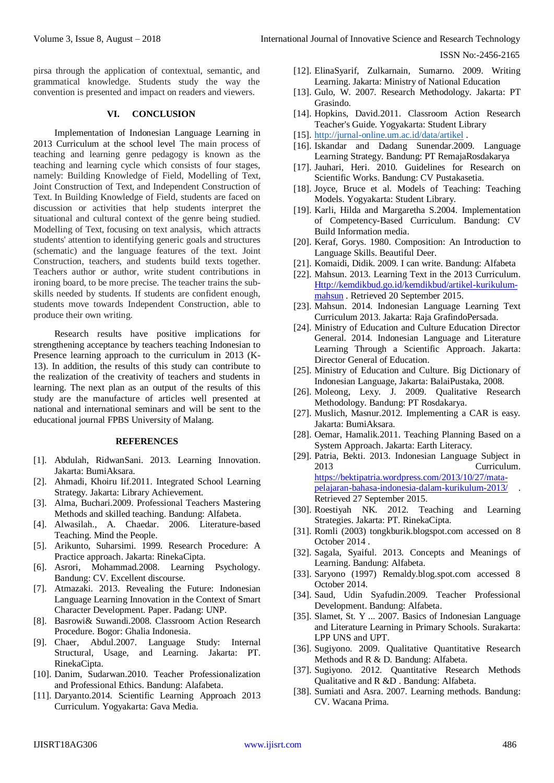pirsa through the application of contextual, semantic, and grammatical knowledge. Students study the way the convention is presented and impact on readers and viewers.

### **VI. CONCLUSION**

Implementation of Indonesian Language Learning in 2013 Curriculum at the school level The main process of teaching and learning genre pedagogy is known as the teaching and learning cycle which consists of four stages, namely: Building Knowledge of Field, Modelling of Text, Joint Construction of Text, and Independent Construction of Text. In Building Knowledge of Field, students are faced on discussion or activities that help students interpret the situational and cultural context of the genre being studied. Modelling of Text, focusing on text analysis, which attracts students' attention to identifying generic goals and structures (schematic) and the language features of the text. Joint Construction, teachers, and students build texts together. Teachers author or author, write student contributions in ironing board, to be more precise. The teacher trains the subskills needed by students. If students are confident enough, students move towards Independent Construction, able to produce their own writing.

Research results have positive implications for strengthening acceptance by teachers teaching Indonesian to Presence learning approach to the curriculum in 2013 (K-13). In addition, the results of this study can contribute to the realization of the creativity of teachers and students in learning. The next plan as an output of the results of this study are the manufacture of articles well presented at national and international seminars and will be sent to the educational journal FPBS University of Malang.

#### **REFERENCES**

- [1]. Abdulah, RidwanSani. 2013. Learning Innovation. Jakarta: BumiAksara.
- [2]. Ahmadi, Khoiru Iif.2011. Integrated School Learning Strategy. Jakarta: Library Achievement.
- [3]. Alma, Buchari.2009. Professional Teachers Mastering Methods and skilled teaching. Bandung: Alfabeta.
- [4]. Alwasilah., A. Chaedar. 2006. Literature-based Teaching. Mind the People.
- [5]. Arikunto, Suharsimi. 1999. Research Procedure: A Practice approach. Jakarta: RinekaCipta.
- [6]. Asrori, Mohammad.2008. Learning Psychology. Bandung: CV. Excellent discourse.
- [7]. Atmazaki. 2013. Revealing the Future: Indonesian Language Learning Innovation in the Context of Smart Character Development. Paper. Padang: UNP.
- [8]. Basrowi& Suwandi.2008. Classroom Action Research Procedure. Bogor: Ghalia Indonesia.
- [9]. Chaer, Abdul.2007. Language Study: Internal Structural, Usage, and Learning. Jakarta: PT. RinekaCipta.
- [10]. Danim, Sudarwan.2010. Teacher Professionalization and Professional Ethics. Bandung: Alafabeta.
- [11]. Daryanto.2014. Scientific Learning Approach 2013 Curriculum. Yogyakarta: Gava Media.
- [12]. ElinaSyarif, Zulkarnain, Sumarno. 2009. Writing Learning. Jakarta: Ministry of National Education
- [13]. Gulo, W. 2007. Research Methodology. Jakarta: PT Grasindo.
- [14]. Hopkins, David.2011. Classroom Action Research Teacher's Guide. Yogyakarta: Student Library
- [15]. [http://jurnal-online.um.ac.id/data/artikel](https://translate.google.com/translate?hl=id&prev=_t&sl=id&tl=en&u=http://jurnal-online.um.ac.id/data/artikel) .
- [16]. Iskandar and Dadang Sunendar.2009. Language Learning Strategy. Bandung: PT RemajaRosdakarya
- [17]. Jauhari, Heri. 2010. Guidelines for Research on Scientific Works. Bandung: CV Pustakasetia.
- [18]. Joyce, Bruce et al. Models of Teaching: Teaching Models. Yogyakarta: Student Library.
- [19]. Karli, Hilda and Margaretha S.2004. Implementation of Competency-Based Curriculum. Bandung: CV Build Information media.
- [20]. Keraf, Gorys. 1980. Composition: An Introduction to Language Skills. Beautiful Deer.
- [21]. Komaidi, Didik. 2009. I can write. Bandung: Alfabeta
- [22]. Mahsun. 2013. Learning Text in the 2013 Curriculum. [Http://kemdikbud.go.id/kemdikbud/artikel-kurikulum](https://translate.google.com/translate?hl=id&prev=_t&sl=id&tl=en&u=http://kemdikbud.go.id/kemdikbud/artikel-kurikulum-mahsun)[mahsun](https://translate.google.com/translate?hl=id&prev=_t&sl=id&tl=en&u=http://kemdikbud.go.id/kemdikbud/artikel-kurikulum-mahsun) . Retrieved 20 September 2015.
- [23]. Mahsun. 2014. Indonesian Language Learning Text Curriculum 2013. Jakarta: Raja GrafindoPersada.
- [24]. Ministry of Education and Culture Education Director General. 2014. Indonesian Language and Literature Learning Through a Scientific Approach. Jakarta: Director General of Education.
- [25]. Ministry of Education and Culture. Big Dictionary of Indonesian Language, Jakarta: BalaiPustaka, 2008.
- [26]. Moleong, Lexy. J. 2009. Qualitative Research Methodology. Bandung: PT Rosdakarya.
- [27]. Muslich, Masnur.2012. Implementing a CAR is easy. Jakarta: BumiAksara.
- [28]. Oemar, Hamalik.2011. Teaching Planning Based on a System Approach. Jakarta: Earth Literacy.
- [29]. Patria, Bekti. 2013. Indonesian Language Subject in 2013 Curriculum. [https://bektipatria.wordpress.com/2013/10/27/mata](https://translate.google.com/translate?hl=id&prev=_t&sl=id&tl=en&u=https://bektipatria.wordpress.com/2013/10/27/mata-pelajaran-bahasa-indonesia-dalam-kurikulum-2013/)[pelajaran-bahasa-indonesia-dalam-kurikulum-2013/](https://translate.google.com/translate?hl=id&prev=_t&sl=id&tl=en&u=https://bektipatria.wordpress.com/2013/10/27/mata-pelajaran-bahasa-indonesia-dalam-kurikulum-2013/) . Retrieved 27 September 2015.
- [30]. Roestiyah NK. 2012. Teaching and Learning Strategies. Jakarta: PT. RinekaCipta.
- [31]. Romli (2003) tongkburik.blogspot.com accessed on 8 October 2014 .
- [32]. Sagala, Syaiful. 2013. Concepts and Meanings of Learning. Bandung: Alfabeta.
- [33]. Saryono (1997) Remaldy.blog.spot.com accessed 8 October 2014.
- [34]. Saud, Udin Syafudin.2009. Teacher Professional Development. Bandung: Alfabeta.
- [35]. Slamet, St. Y ... 2007. Basics of Indonesian Language and Literature Learning in Primary Schools. Surakarta: LPP UNS and UPT.
- [36]. Sugiyono. 2009. Qualitative Quantitative Research Methods and R & D. Bandung: Alfabeta.
- [37]. Sugiyono. 2012. Quantitative Research Methods Qualitative and R &D . Bandung: Alfabeta.
- [38]. Sumiati and Asra. 2007. Learning methods. Bandung: CV. Wacana Prima.